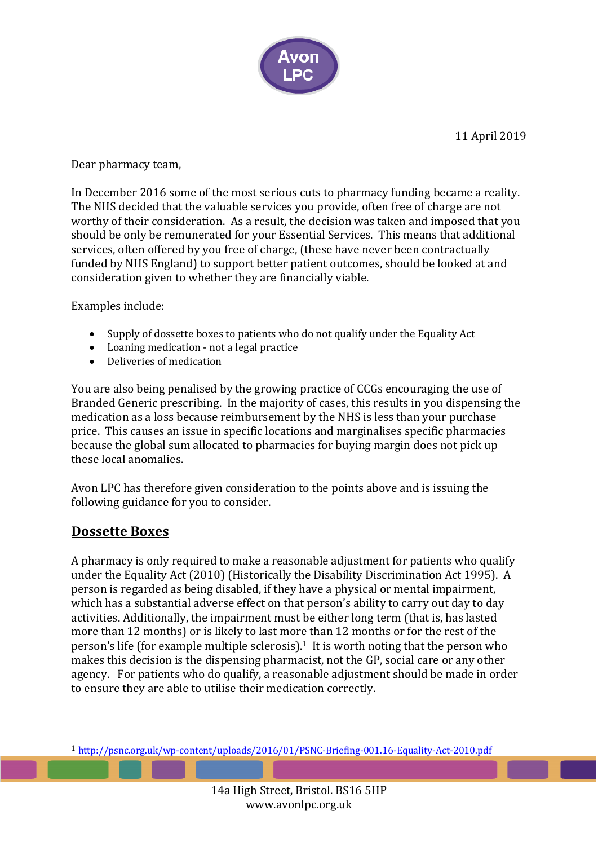

Dear pharmacy team,

In December 2016 some of the most serious cuts to pharmacy funding became a reality. The NHS decided that the valuable services you provide, often free of charge are not worthy of their consideration. As a result, the decision was taken and imposed that you should be only be remunerated for your Essential Services. This means that additional services, often offered by you free of charge, (these have never been contractually funded by NHS England) to support better patient outcomes, should be looked at and consideration given to whether they are financially viable.

Examples include:

- Supply of dossette boxes to patients who do not qualify under the Equality Act
- Loaning medication not a legal practice
- Deliveries of medication

You are also being penalised by the growing practice of CCGs encouraging the use of Branded Generic prescribing. In the majority of cases, this results in you dispensing the medication as a loss because reimbursement by the NHS is less than your purchase price. This causes an issue in specific locations and marginalises specific pharmacies because the global sum allocated to pharmacies for buying margin does not pick up these local anomalies.

Avon LPC has therefore given consideration to the points above and is issuing the following guidance for you to consider.

### **Dossette Boxes**

 

A pharmacy is only required to make a reasonable adjustment for patients who qualify under the Equality Act (2010) (Historically the Disability Discrimination Act 1995). A person is regarded as being disabled, if they have a physical or mental impairment, which has a substantial adverse effect on that person's ability to carry out day to day activities. Additionally, the impairment must be either long term (that is, has lasted more than 12 months) or is likely to last more than 12 months or for the rest of the person's life (for example multiple sclerosis).<sup>1</sup> It is worth noting that the person who makes this decision is the dispensing pharmacist, not the GP, social care or any other agency. For patients who do qualify, a reasonable adjustment should be made in order to ensure they are able to utilise their medication correctly.

<sup>1</sup> http://psnc.org.uk/wp-content/uploads/2016/01/PSNC-Briefing-001.16-Equality-Act-2010.pdf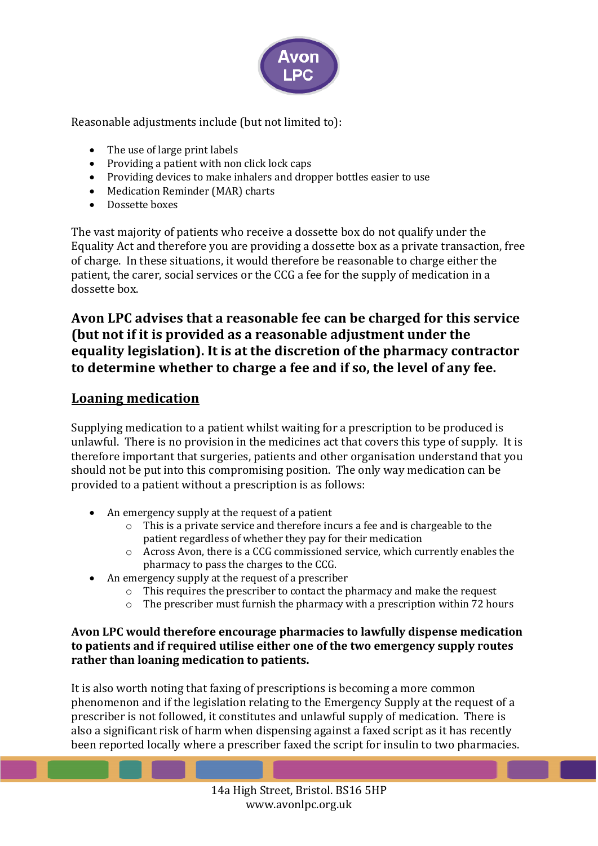

Reasonable adjustments include (but not limited to):

- $\bullet$  The use of large print labels
- Providing a patient with non click lock caps
- Providing devices to make inhalers and dropper bottles easier to use
- Medication Reminder (MAR) charts
- Dossette boxes

The vast majority of patients who receive a dossette box do not qualify under the Equality Act and therefore you are providing a dossette box as a private transaction, free of charge. In these situations, it would therefore be reasonable to charge either the patient, the carer, social services or the CCG a fee for the supply of medication in a dossette box.

## Avon LPC advises that a reasonable fee can be charged for this service (but not if it is provided as a reasonable adjustment under the **equality legislation). It is at the discretion of the pharmacy contractor** to determine whether to charge a fee and if so, the level of any fee.

## **Loaning medication**

Supplying medication to a patient whilst waiting for a prescription to be produced is unlawful. There is no provision in the medicines act that covers this type of supply. It is therefore important that surgeries, patients and other organisation understand that you should not be put into this compromising position. The only way medication can be provided to a patient without a prescription is as follows:

- An emergency supply at the request of a patient
	- $\circ$  This is a private service and therefore incurs a fee and is chargeable to the patient regardless of whether they pay for their medication
	- $\circ$  Across Avon, there is a CCG commissioned service, which currently enables the pharmacy to pass the charges to the CCG.
- An emergency supply at the request of a prescriber
	- $\circ$  This requires the prescriber to contact the pharmacy and make the request
	- $\circ$  The prescriber must furnish the pharmacy with a prescription within 72 hours

#### Avon LPC would therefore encourage pharmacies to lawfully dispense medication to patients and if required utilise either one of the two emergency supply routes rather than loaning medication to patients.

It is also worth noting that faxing of prescriptions is becoming a more common phenomenon and if the legislation relating to the Emergency Supply at the request of a prescriber is not followed, it constitutes and unlawful supply of medication. There is also a significant risk of harm when dispensing against a faxed script as it has recently been reported locally where a prescriber faxed the script for insulin to two pharmacies.